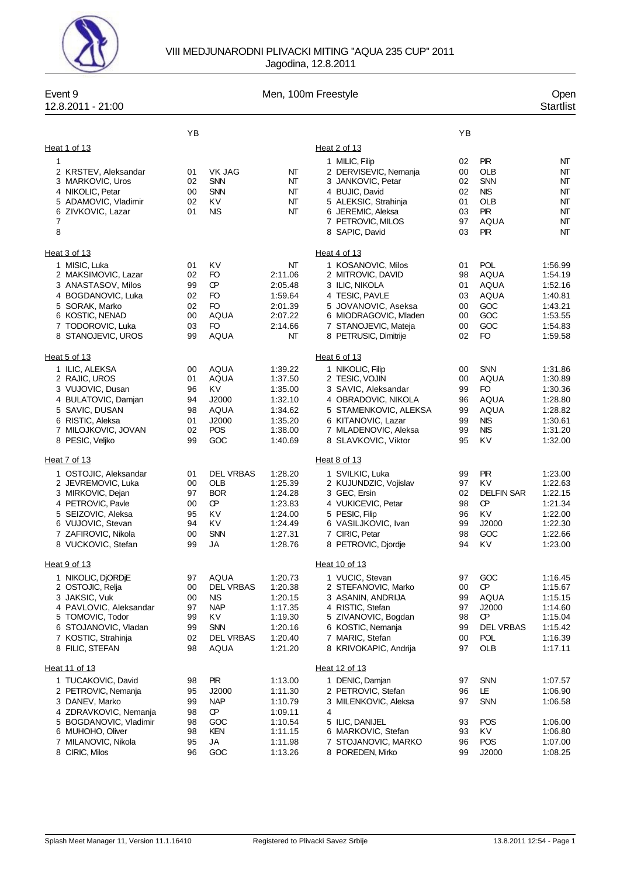

## VIII MEDJUNARODNI PLIVACKI MITING ''AQUA 235 CUP'' 2011 Jagodina, 12.8.2011

| Event 9<br>12.8.2011 - 21:00                                                                                                                                                  | Men, 100m Freestyle                          |                                                                                                              |                                                                                      |                                                                                                                                                                                |                                              |                                                                                                        | Open<br><b>Startlist</b>                                                             |
|-------------------------------------------------------------------------------------------------------------------------------------------------------------------------------|----------------------------------------------|--------------------------------------------------------------------------------------------------------------|--------------------------------------------------------------------------------------|--------------------------------------------------------------------------------------------------------------------------------------------------------------------------------|----------------------------------------------|--------------------------------------------------------------------------------------------------------|--------------------------------------------------------------------------------------|
|                                                                                                                                                                               | YB                                           |                                                                                                              |                                                                                      |                                                                                                                                                                                | YB                                           |                                                                                                        |                                                                                      |
| Heat 1 of 13                                                                                                                                                                  |                                              |                                                                                                              |                                                                                      | Heat 2 of 13                                                                                                                                                                   |                                              |                                                                                                        |                                                                                      |
| 1<br>2 KRSTEV, Aleksandar<br>3 MARKOVIC, Uros<br>4 NIKOLIC, Petar<br>5 ADAMOVIC, Vladimir<br>6 ZIVKOVIC, Lazar<br>7<br>8                                                      | 01<br>02<br>00<br>02<br>01                   | VK JAG<br><b>SNN</b><br><b>SNN</b><br>KV<br><b>NIS</b>                                                       | NT<br>NT<br>NT<br>NΤ<br>NT                                                           | 1 MILIC, Filip<br>2 DERVISEVIC, Nemanja<br>3 JANKOVIC, Petar<br>4 BUJIC, David<br>5 ALEKSIC, Strahinja<br>6 JEREMIC, Aleksa<br>7 PETROVIC, MILOS<br>8 SAPIC, David             | 02<br>00<br>02<br>02<br>01<br>03<br>97<br>03 | <b>PIR</b><br>OLB<br><b>SNN</b><br><b>NIS</b><br><b>OLB</b><br><b>PIR</b><br><b>AQUA</b><br><b>PIR</b> | NT<br>NΤ<br>NT<br>NT<br>NT<br>NT<br>NT<br>NT                                         |
| Heat 3 of 13                                                                                                                                                                  |                                              |                                                                                                              |                                                                                      | Heat 4 of 13                                                                                                                                                                   |                                              |                                                                                                        |                                                                                      |
| 1 MISIC, Luka<br>2 MAKSIMOVIC, Lazar<br>3 ANASTASOV, Milos<br>4 BOGDANOVIC, Luka<br>5 SORAK, Marko<br>6 KOSTIC, NENAD<br>7 TODOROVIC, Luka<br>8 STANOJEVIC, UROS              | 01<br>02<br>99<br>02<br>02<br>00<br>03<br>99 | KV<br>FO<br>Œ<br>FO<br>FO<br>AQUA<br>FO<br>AQUA                                                              | NT<br>2:11.06<br>2:05.48<br>1:59.64<br>2:01.39<br>2:07.22<br>2:14.66<br>NT           | 1 KOSANOVIC, Milos<br>2 MITROVIC, DAVID<br>3 ILIC, NIKOLA<br>4 TESIC, PAVLE<br>5 JOVANOVIC, Aseksa<br>6 MIODRAGOVIC, Mladen<br>7 STANOJEVIC, Mateja<br>8 PETRUSIC, Dimitrije   | 01<br>98<br>01<br>03<br>00<br>00<br>00<br>02 | <b>POL</b><br>AQUA<br><b>AQUA</b><br>AQUA<br>GOC<br>GOC<br>GOC<br><b>FO</b>                            | 1:56.99<br>1:54.19<br>1:52.16<br>1:40.81<br>1:43.21<br>1:53.55<br>1:54.83<br>1:59.58 |
| Heat 5 of 13                                                                                                                                                                  |                                              |                                                                                                              |                                                                                      | Heat 6 of 13                                                                                                                                                                   |                                              |                                                                                                        |                                                                                      |
| 1 ILIC, ALEKSA<br>2 RAJIC, UROS<br>3 VUJOVIC, Dusan<br>4 BULATOVIC, Damjan<br>5 SAVIC, DUSAN<br>6 RISTIC, Aleksa<br>7 MILOJKOVIC, JOVAN<br>8 PESIC, Veljko                    | 00<br>01<br>96<br>94<br>98<br>01<br>02<br>99 | AQUA<br>AQUA<br>KV<br>J2000<br>AQUA<br>J2000<br><b>POS</b><br>GOC                                            | 1:39.22<br>1:37.50<br>1:35.00<br>1:32.10<br>1:34.62<br>1:35.20<br>1:38.00<br>1:40.69 | 1 NIKOLIC, Filip<br>2 TESIC, VOJIN<br>3 SAVIC, Aleksandar<br>4 OBRADOVIC, NIKOLA<br>5 STAMENKOVIC, ALEKSA<br>6 KITANOVIC, Lazar<br>7 MLADENOVIC, Aleksa<br>8 SLAVKOVIC, Viktor | 00<br>00<br>99<br>96<br>99<br>99<br>99<br>95 | <b>SNN</b><br>AQUA<br>FO<br>AQUA<br>AQUA<br><b>NIS</b><br><b>NIS</b><br>KV                             | 1:31.86<br>1:30.89<br>1:30.36<br>1:28.80<br>1:28.82<br>1:30.61<br>1:31.20<br>1:32.00 |
| Heat 7 of 13                                                                                                                                                                  |                                              |                                                                                                              |                                                                                      | Heat 8 of 13                                                                                                                                                                   |                                              |                                                                                                        |                                                                                      |
| 1 OSTOJIC, Aleksandar<br>2 JEVREMOVIC, Luka<br>3 MIRKOVIC, Dejan<br>4 PETROVIC, Pavle<br>5 SEIZOVIC, Aleksa<br>6 VUJOVIC, Stevan<br>7 ZAFIROVIC, Nikola<br>8 VUCKOVIC, Stefan | 01<br>00<br>97<br>00<br>95<br>94<br>00<br>99 | <b>DEL VRBAS</b><br>OLB<br><b>BOR</b><br>œ<br>KV<br>K٧<br><b>SNN</b><br>JA                                   | 1:28.20<br>1:25.39<br>1:24.28<br>1:23.83<br>1:24.00<br>1:24.49<br>1:27.31<br>1:28.76 | 1 SVILKIC, Luka<br>2 KUJUNDZIC, Vojislav<br>3 GEC, Ersin<br>4 VUKICEVIC, Petar<br>5 PESIC, Filip<br>6 VASILJKOVIC, Ivan<br>7 CIRIC, Petar<br>8 PETROVIC, Djordje               | 99<br>97<br>02<br>98<br>96<br>99<br>98<br>94 | <b>PIR</b><br>KV<br><b>DELFIN SAR</b><br>Œ<br>KV<br>J2000<br>GOC<br>K٧                                 | 1:23.00<br>1:22.63<br>1:22.15<br>1:21.34<br>1:22.00<br>1:22.30<br>1:22.66<br>1:23.00 |
| Heat 9 of 13                                                                                                                                                                  |                                              |                                                                                                              |                                                                                      | Heat 10 of 13                                                                                                                                                                  |                                              |                                                                                                        |                                                                                      |
| 1 NIKOLIC, DJORDJE<br>2 OSTOJIC, Relja<br>3 JAKSIC, Vuk<br>4 PAVLOVIC, Aleksandar<br>5 TOMOVIC, Todor<br>6 STOJANOVIC, Vladan<br>7 KOSTIC, Strahinja<br>8 FILIC, STEFAN       | 97<br>00<br>00<br>97<br>99<br>99<br>02<br>98 | <b>AQUA</b><br><b>DEL VRBAS</b><br>NIS.<br><b>NAP</b><br>KV<br><b>SNN</b><br><b>DEL VRBAS</b><br><b>AQUA</b> | 1:20.73<br>1:20.38<br>1:20.15<br>1:17.35<br>1:19.30<br>1:20.16<br>1:20.40<br>1:21.20 | 1 VUCIC, Stevan<br>2 STEFANOVIC, Marko<br>3 ASANIN, ANDRIJA<br>4 RISTIC, Stefan<br>5 ZIVANOVIC, Bogdan<br>6 KOSTIC, Nemanja<br>7 MARIC, Stefan<br>8 KRIVOKAPIC, Andrija        | 97<br>00<br>99<br>97<br>98<br>99<br>00<br>97 | GOC<br>Œ<br>AQUA<br>J2000<br>Œ<br><b>DEL VRBAS</b><br><b>POL</b><br>OLB                                | 1:16.45<br>1:15.67<br>1:15.15<br>1:14.60<br>1:15.04<br>1:15.42<br>1:16.39<br>1:17.11 |
| Heat 11 of 13                                                                                                                                                                 |                                              |                                                                                                              |                                                                                      | Heat 12 of 13                                                                                                                                                                  |                                              |                                                                                                        |                                                                                      |
| 1 TUCAKOVIC, David<br>2 PETROVIC, Nemanja<br>3 DANEV, Marko<br>4 ZDRAVKOVIC, Nemanja                                                                                          | 98<br>95<br>99<br>98                         | <b>PIR</b><br>J2000<br><b>NAP</b><br>œ                                                                       | 1:13.00<br>1:11.30<br>1:10.79<br>1:09.11                                             | 1 DENIC, Damjan<br>2 PETROVIC, Stefan<br>3 MILENKOVIC, Aleksa<br>4                                                                                                             | 97<br>96<br>97                               | <b>SNN</b><br>LE<br>SNN                                                                                | 1:07.57<br>1:06.90<br>1:06.58                                                        |
| 5 BOGDANOVIC, Vladimir<br>6 MUHOHO, Oliver<br>7 MILANOVIC, Nikola<br>8 CIRIC, Milos                                                                                           | 98<br>98<br>95<br>96                         | GOC<br>KEN<br>JA<br>GOC                                                                                      | 1:10.54<br>1:11.15<br>1:11.98<br>1:13.26                                             | 5 ILIC, DANIJEL<br>6 MARKOVIC, Stefan<br>7 STOJANOVIC, MARKO<br>8 POREDEN, Mirko                                                                                               | 93<br>93<br>96<br>99                         | <b>POS</b><br>KV<br><b>POS</b><br>J2000                                                                | 1:06.00<br>1:06.80<br>1:07.00<br>1:08.25                                             |